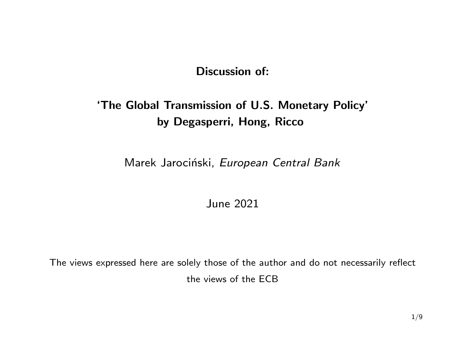### Discussion of:

# 'The Global Transmission of U.S. Monetary Policy' by Degasperri, Hong, Ricco

Marek Jarociński, European Central Bank

June 2021

The views expressed here are solely those of the author and do not necessarily reflect the views of the ECB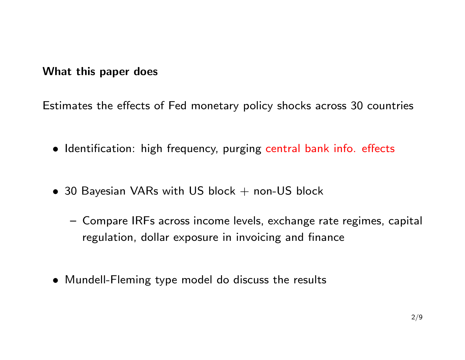#### What this paper does

Estimates the effects of Fed monetary policy shocks across 30 countries

- Identification: high frequency, purging central bank info. effects
- 30 Bayesian VARs with US block  $+$  non-US block
	- Compare IRFs across income levels, exchange rate regimes, capital regulation, dollar exposure in invoicing and finance
- Mundell-Fleming type model do discuss the results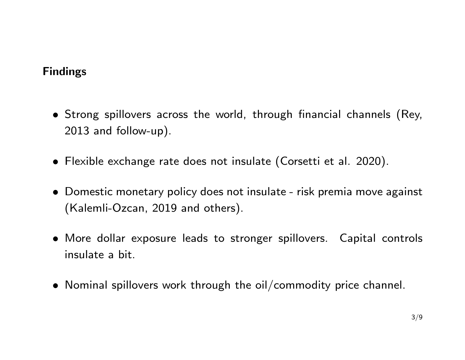## Findings

- Strong spillovers across the world, through financial channels (Rey, 2013 and follow-up).
- Flexible exchange rate does not insulate (Corsetti et al. 2020).
- Domestic monetary policy does not insulate risk premia move against (Kalemli-Ozcan, 2019 and others).
- More dollar exposure leads to stronger spillovers. Capital controls insulate a bit.
- Nominal spillovers work through the oil/commodity price channel.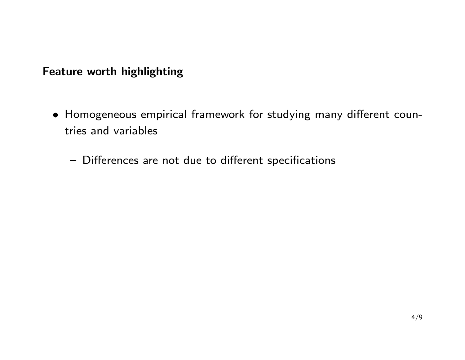## Feature worth highlighting

- Homogeneous empirical framework for studying many different countries and variables
	- Differences are not due to different specifications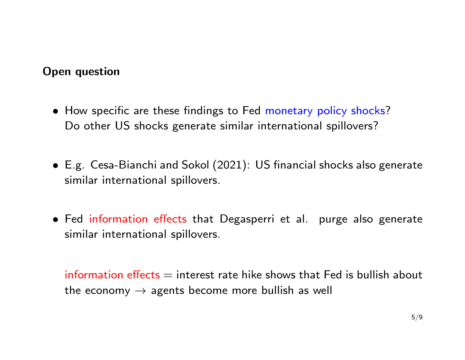### Open question

- How specific are these findings to Fed monetary policy shocks? Do other US shocks generate similar international spillovers?
- E.g. Cesa-Bianchi and Sokol (2021): US financial shocks also generate similar international spillovers.
- Fed information effects that Degasperri et al. purge also generate similar international spillovers.

information effects  $=$  interest rate hike shows that Fed is bullish about the economy  $\rightarrow$  agents become more bullish as well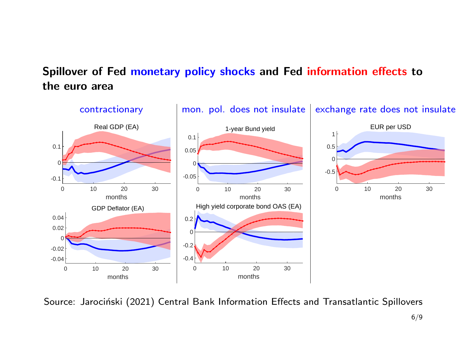# Spillover of Fed monetary policy shocks and Fed information effects to the euro area



Source: Jarociński (2021) Central Bank Information Effects and Transatlantic Spillovers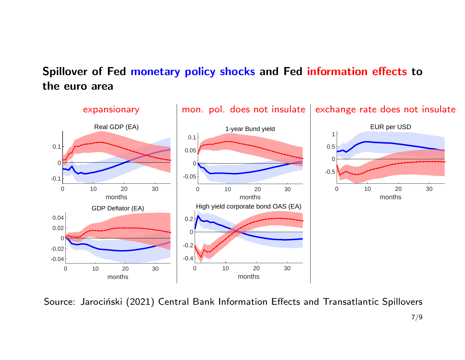# Spillover of Fed monetary policy shocks and Fed information effects to the euro area



Source: Jarociński (2021) Central Bank Information Effects and Transatlantic Spillovers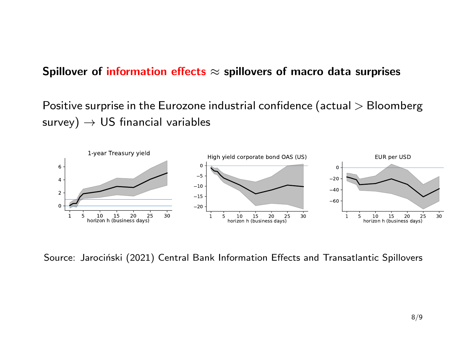#### Spillover of information effects  $\approx$  spillovers of macro data surprises

Positive surprise in the Eurozone industrial confidence (actual > Bloomberg  $survey) \rightarrow US$  financial variables



Source: Jarociński (2021) Central Bank Information Effects and Transatlantic Spillovers